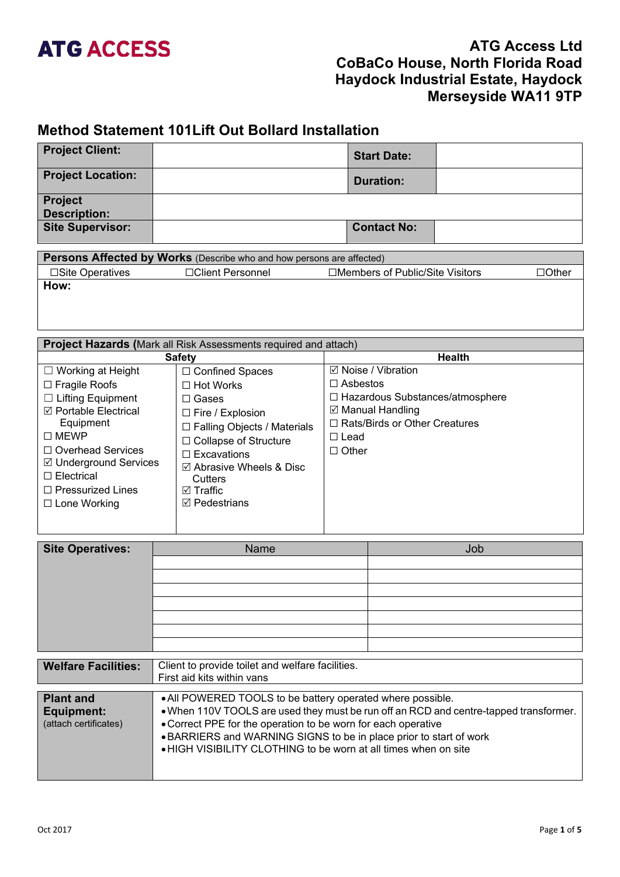## **ATG ACCESS**

## **ATG Access Ltd CoBaCo House, North Florida Road Haydock Industrial Estate, Haydock Merseyside WA11 9TP**

## **Method Statement 101Lift Out Bollard Installation**

| <b>Project Client:</b>                                                                                                                                                                                                                                      |                                                                                                                                                                                                                                                                     | <b>Start Date:</b>                                                                                                                                                 |  |  |  |
|-------------------------------------------------------------------------------------------------------------------------------------------------------------------------------------------------------------------------------------------------------------|---------------------------------------------------------------------------------------------------------------------------------------------------------------------------------------------------------------------------------------------------------------------|--------------------------------------------------------------------------------------------------------------------------------------------------------------------|--|--|--|
| <b>Project Location:</b>                                                                                                                                                                                                                                    |                                                                                                                                                                                                                                                                     | <b>Duration:</b>                                                                                                                                                   |  |  |  |
| <b>Project</b><br><b>Description:</b>                                                                                                                                                                                                                       |                                                                                                                                                                                                                                                                     |                                                                                                                                                                    |  |  |  |
| <b>Site Supervisor:</b>                                                                                                                                                                                                                                     |                                                                                                                                                                                                                                                                     | <b>Contact No:</b>                                                                                                                                                 |  |  |  |
|                                                                                                                                                                                                                                                             | Persons Affected by Works (Describe who and how persons are affected)                                                                                                                                                                                               |                                                                                                                                                                    |  |  |  |
| □Site Operatives                                                                                                                                                                                                                                            | □Client Personnel                                                                                                                                                                                                                                                   | □Members of Public/Site Visitors<br>$\Box$ Other                                                                                                                   |  |  |  |
|                                                                                                                                                                                                                                                             | How:                                                                                                                                                                                                                                                                |                                                                                                                                                                    |  |  |  |
|                                                                                                                                                                                                                                                             | Project Hazards (Mark all Risk Assessments required and attach)                                                                                                                                                                                                     |                                                                                                                                                                    |  |  |  |
|                                                                                                                                                                                                                                                             | <b>Safety</b>                                                                                                                                                                                                                                                       | <b>Health</b>                                                                                                                                                      |  |  |  |
| $\Box$ Working at Height<br>□ Fragile Roofs<br>$\Box$ Lifting Equipment<br>☑ Portable Electrical<br>Equipment<br>$\square$ MEWP<br>□ Overhead Services<br>☑ Underground Services<br>$\square$ Electrical<br>$\Box$ Pressurized Lines<br>$\Box$ Lone Working | □ Confined Spaces<br>$\Box$ Hot Works<br>$\Box$ Gases<br>$\Box$ Fire / Explosion<br>□ Falling Objects / Materials<br>□ Collapse of Structure<br>$\Box$ Excavations<br>$\boxtimes$ Abrasive Wheels & Disc<br>Cutters<br>$\boxdot$ Traffic<br>$\boxtimes$ Pedestrians | ☑ Noise / Vibration<br>$\Box$ Asbestos<br>□ Hazardous Substances/atmosphere<br>☑ Manual Handling<br>□ Rats/Birds or Other Creatures<br>$\Box$ Lead<br>$\Box$ Other |  |  |  |
| <b>Site Operatives:</b>                                                                                                                                                                                                                                     | <b>Name</b>                                                                                                                                                                                                                                                         | Job                                                                                                                                                                |  |  |  |
|                                                                                                                                                                                                                                                             |                                                                                                                                                                                                                                                                     |                                                                                                                                                                    |  |  |  |

| <b>Welfare Facilities:</b> | Client to provide toilet and welfare facilities.                   |                                                                                       |  |  |  |
|----------------------------|--------------------------------------------------------------------|---------------------------------------------------------------------------------------|--|--|--|
|                            | First aid kits within vans                                         |                                                                                       |  |  |  |
|                            |                                                                    |                                                                                       |  |  |  |
| <b>Plant and</b>           | • All POWERED TOOLS to be battery operated where possible.         |                                                                                       |  |  |  |
| Equipment:                 |                                                                    | . When 110V TOOLS are used they must be run off an RCD and centre-tapped transformer. |  |  |  |
| (attach certificates)      | • Correct PPE for the operation to be worn for each operative      |                                                                                       |  |  |  |
|                            | • BARRIERS and WARNING SIGNS to be in place prior to start of work |                                                                                       |  |  |  |
|                            | • HIGH VISIBILITY CLOTHING to be worn at all times when on site    |                                                                                       |  |  |  |
|                            |                                                                    |                                                                                       |  |  |  |
|                            |                                                                    |                                                                                       |  |  |  |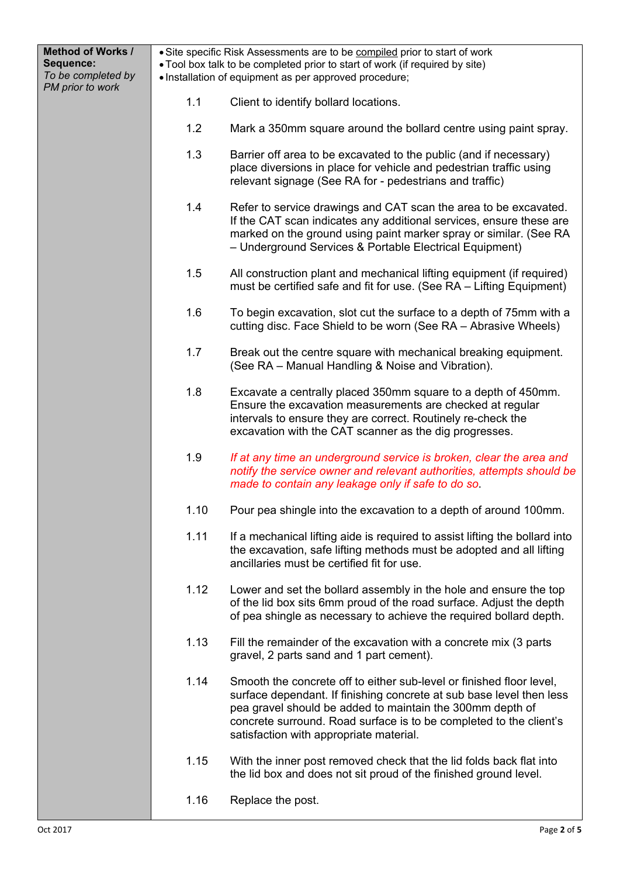| <b>Method of Works /</b><br>Sequence:<br>To be completed by<br>PM prior to work |      | • Site specific Risk Assessments are to be compiled prior to start of work<br>• Tool box talk to be completed prior to start of work (if required by site)<br>· Installation of equipment as per approved procedure;                                                                                                       |  |  |
|---------------------------------------------------------------------------------|------|----------------------------------------------------------------------------------------------------------------------------------------------------------------------------------------------------------------------------------------------------------------------------------------------------------------------------|--|--|
|                                                                                 | 1.1  | Client to identify bollard locations.                                                                                                                                                                                                                                                                                      |  |  |
|                                                                                 | 1.2  | Mark a 350mm square around the bollard centre using paint spray.                                                                                                                                                                                                                                                           |  |  |
|                                                                                 | 1.3  | Barrier off area to be excavated to the public (and if necessary)<br>place diversions in place for vehicle and pedestrian traffic using<br>relevant signage (See RA for - pedestrians and traffic)                                                                                                                         |  |  |
|                                                                                 | 1.4  | Refer to service drawings and CAT scan the area to be excavated.<br>If the CAT scan indicates any additional services, ensure these are<br>marked on the ground using paint marker spray or similar. (See RA<br>- Underground Services & Portable Electrical Equipment)                                                    |  |  |
|                                                                                 | 1.5  | All construction plant and mechanical lifting equipment (if required)<br>must be certified safe and fit for use. (See RA - Lifting Equipment)                                                                                                                                                                              |  |  |
|                                                                                 | 1.6  | To begin excavation, slot cut the surface to a depth of 75mm with a<br>cutting disc. Face Shield to be worn (See RA - Abrasive Wheels)                                                                                                                                                                                     |  |  |
|                                                                                 | 1.7  | Break out the centre square with mechanical breaking equipment.<br>(See RA – Manual Handling & Noise and Vibration).                                                                                                                                                                                                       |  |  |
|                                                                                 | 1.8  | Excavate a centrally placed 350mm square to a depth of 450mm.<br>Ensure the excavation measurements are checked at regular<br>intervals to ensure they are correct. Routinely re-check the<br>excavation with the CAT scanner as the dig progresses.                                                                       |  |  |
|                                                                                 | 1.9  | If at any time an underground service is broken, clear the area and<br>notify the service owner and relevant authorities, attempts should be<br>made to contain any leakage only if safe to do so.                                                                                                                         |  |  |
|                                                                                 | 1.10 | Pour pea shingle into the excavation to a depth of around 100mm.                                                                                                                                                                                                                                                           |  |  |
|                                                                                 | 1.11 | If a mechanical lifting aide is required to assist lifting the bollard into<br>the excavation, safe lifting methods must be adopted and all lifting<br>ancillaries must be certified fit for use.                                                                                                                          |  |  |
|                                                                                 | 1.12 | Lower and set the bollard assembly in the hole and ensure the top<br>of the lid box sits 6mm proud of the road surface. Adjust the depth<br>of pea shingle as necessary to achieve the required bollard depth.                                                                                                             |  |  |
|                                                                                 | 1.13 | Fill the remainder of the excavation with a concrete mix (3 parts<br>gravel, 2 parts sand and 1 part cement).                                                                                                                                                                                                              |  |  |
|                                                                                 | 1.14 | Smooth the concrete off to either sub-level or finished floor level,<br>surface dependant. If finishing concrete at sub base level then less<br>pea gravel should be added to maintain the 300mm depth of<br>concrete surround. Road surface is to be completed to the client's<br>satisfaction with appropriate material. |  |  |
|                                                                                 | 1.15 | With the inner post removed check that the lid folds back flat into<br>the lid box and does not sit proud of the finished ground level.                                                                                                                                                                                    |  |  |
|                                                                                 | 1.16 | Replace the post.                                                                                                                                                                                                                                                                                                          |  |  |

Н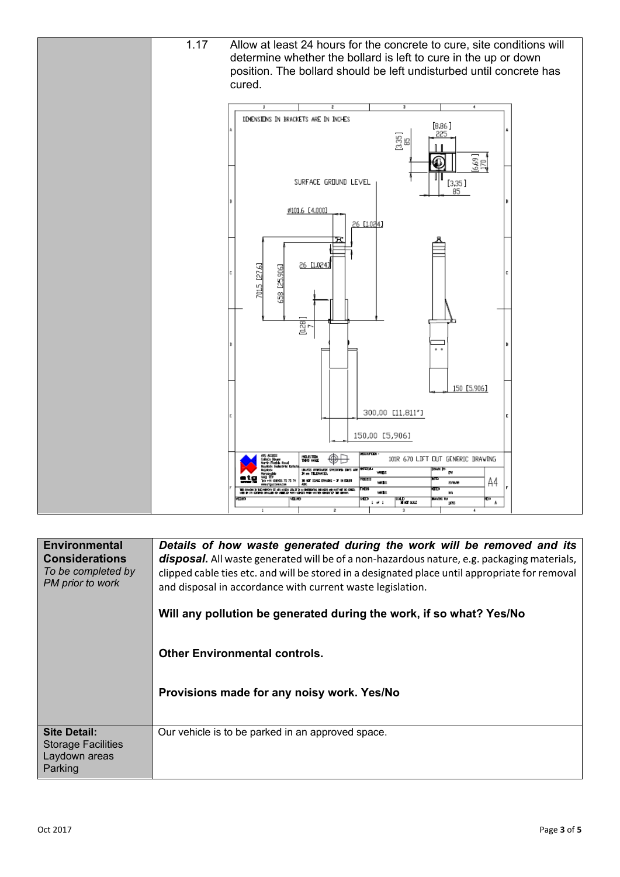

| <b>Environmental</b><br><b>Considerations</b><br>To be completed by<br>PM prior to work | Details of how waste generated during the work will be removed and its<br>disposal. All waste generated will be of a non-hazardous nature, e.g. packaging materials,<br>clipped cable ties etc. and will be stored in a designated place until appropriate for removal<br>and disposal in accordance with current waste legislation.<br>Will any pollution be generated during the work, if so what? Yes/No<br><b>Other Environmental controls.</b><br>Provisions made for any noisy work. Yes/No |
|-----------------------------------------------------------------------------------------|---------------------------------------------------------------------------------------------------------------------------------------------------------------------------------------------------------------------------------------------------------------------------------------------------------------------------------------------------------------------------------------------------------------------------------------------------------------------------------------------------|
| <b>Site Detail:</b><br><b>Storage Facilities</b><br>Laydown areas<br>Parking            | Our vehicle is to be parked in an approved space.                                                                                                                                                                                                                                                                                                                                                                                                                                                 |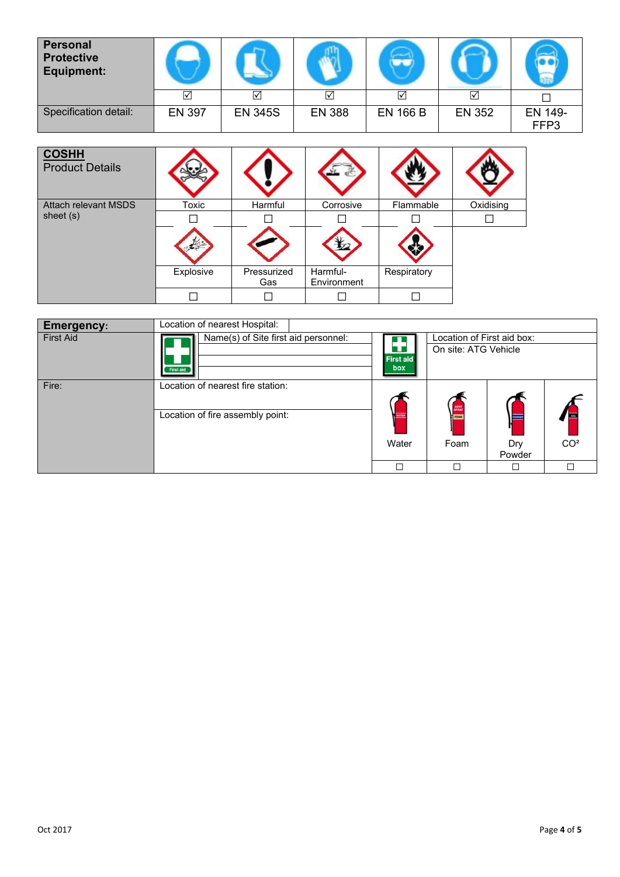| <b>Personal</b><br><b>Protective</b><br><b>Equipment:</b> |               |                |               |                 |                      |                 |
|-----------------------------------------------------------|---------------|----------------|---------------|-----------------|----------------------|-----------------|
|                                                           | ا             | ☑              | ☑             | ☑               | $\blacktriangledown$ |                 |
| Specification detail:                                     | <b>EN 397</b> | <b>EN 345S</b> | <b>EN 388</b> | <b>EN 166 B</b> | <b>EN 352</b>        | EN 149-<br>FFP3 |

| <b>COSHH</b><br><b>Product Details</b> |           |                    |                         |             |           |
|----------------------------------------|-----------|--------------------|-------------------------|-------------|-----------|
| <b>Attach relevant MSDS</b>            | Toxic     | Harmful            | Corrosive               | Flammable   | Oxidising |
| sheet (s)                              |           |                    |                         |             |           |
|                                        |           |                    |                         |             |           |
|                                        | Explosive | Pressurized<br>Gas | Harmful-<br>Environment | Respiratory |           |
|                                        |           |                    |                         |             |           |

| <b>Emergency:</b> | Location of nearest Hospital:        |                                                      |                            |        |                 |
|-------------------|--------------------------------------|------------------------------------------------------|----------------------------|--------|-----------------|
| <b>First Aid</b>  | Name(s) of Site first aid personnel: |                                                      | Location of First aid box: |        |                 |
|                   | <b>First aid</b>                     | On site: ATG Vehicle<br>U<br><b>First aid</b><br>box |                            |        |                 |
| Fire:             | Location of nearest fire station:    |                                                      |                            |        |                 |
|                   |                                      |                                                      |                            |        |                 |
|                   | Location of fire assembly point:     |                                                      | <b>T</b> FOAM              |        |                 |
|                   |                                      | Water                                                | Foam                       | Dry    | CO <sup>2</sup> |
|                   |                                      |                                                      |                            | Powder |                 |
|                   |                                      |                                                      |                            |        |                 |